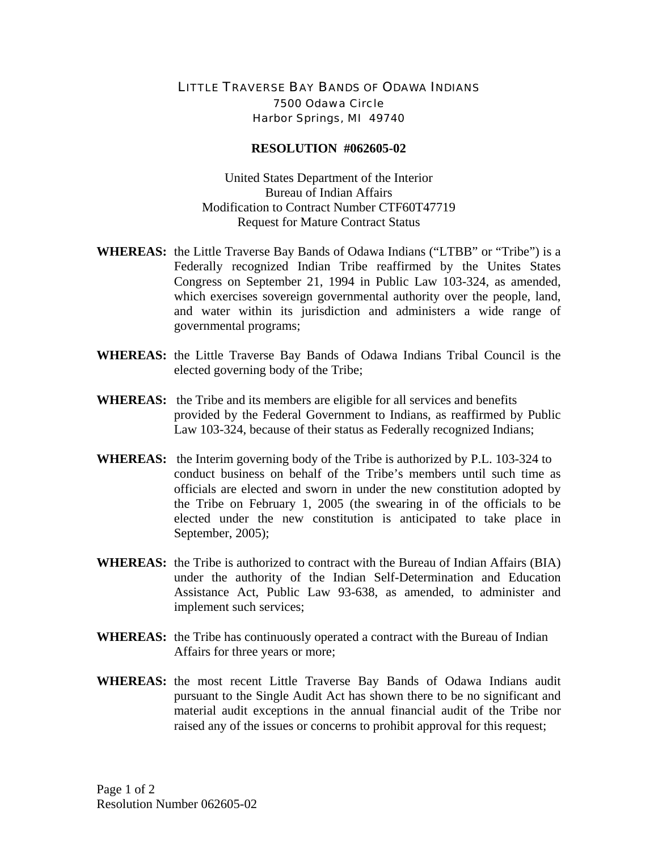## LITTLE TRAVERSE BAY BANDS OF ODAWA INDIANS 7500 Odawa Circle Harbor Springs, MI 49740

## **RESOLUTION #062605-02**

United States Department of the Interior Bureau of Indian Affairs Modification to Contract Number CTF60T47719 Request for Mature Contract Status

- **WHEREAS:** the Little Traverse Bay Bands of Odawa Indians ("LTBB" or "Tribe") is a Federally recognized Indian Tribe reaffirmed by the Unites States Congress on September 21, 1994 in Public Law 103-324, as amended, which exercises sovereign governmental authority over the people, land, and water within its jurisdiction and administers a wide range of governmental programs;
- **WHEREAS:** the Little Traverse Bay Bands of Odawa Indians Tribal Council is the elected governing body of the Tribe;
- **WHEREAS:** the Tribe and its members are eligible for all services and benefits provided by the Federal Government to Indians, as reaffirmed by Public Law 103-324, because of their status as Federally recognized Indians;
- **WHEREAS:** the Interim governing body of the Tribe is authorized by P.L. 103-324 to conduct business on behalf of the Tribe's members until such time as officials are elected and sworn in under the new constitution adopted by the Tribe on February 1, 2005 (the swearing in of the officials to be elected under the new constitution is anticipated to take place in September, 2005);
- **WHEREAS:** the Tribe is authorized to contract with the Bureau of Indian Affairs (BIA) under the authority of the Indian Self-Determination and Education Assistance Act, Public Law 93-638, as amended, to administer and implement such services;
- **WHEREAS:** the Tribe has continuously operated a contract with the Bureau of Indian Affairs for three years or more;
- **WHEREAS:** the most recent Little Traverse Bay Bands of Odawa Indians audit pursuant to the Single Audit Act has shown there to be no significant and material audit exceptions in the annual financial audit of the Tribe nor raised any of the issues or concerns to prohibit approval for this request;